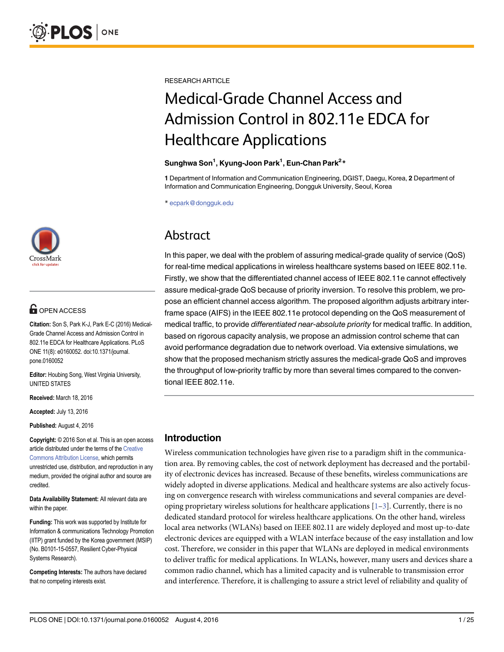

# **OPEN ACCESS**

Citation: Son S, Park K-J, Park E-C (2016) Medical-Grade Channel Access and Admission Control in 802.11e EDCA for Healthcare Applications. PLoS ONE 11(8): e0160052. doi:10.1371/journal. pone.0160052

Editor: Houbing Song, West Virginia University, UNITED STATES

Received: March 18, 2016

Accepted: July 13, 2016

Published: August 4, 2016

Copyright: © 2016 Son et al. This is an open access article distributed under the terms of the [Creative](http://creativecommons.org/licenses/by/4.0/) [Commons Attribution License](http://creativecommons.org/licenses/by/4.0/), which permits unrestricted use, distribution, and reproduction in any medium, provided the original author and source are credited.

Data Availability Statement: All relevant data are within the paper.

Funding: This work was supported by Institute for Information & communications Technology Promotion (IITP) grant funded by the Korea government (MSIP) (No. B0101-15-0557, Resilient Cyber-Physical Systems Research).

Competing Interests: The authors have declared that no competing interests exist.

<span id="page-0-0"></span>RESEARCH ARTICLE

# Medical-Grade Channel Access and Admission Control in 802.11e EDCA for Healthcare Applications

#### Sunghwa Son $^1$ , Kyung-Joon Park $^1$ , Eun-Chan Park $^{\mathsf{2}\,*}$

1 Department of Information and Communication Engineering, DGIST, Daegu, Korea, 2 Department of Information and Communication Engineering, Dongguk University, Seoul, Korea

\* ecpark@dongguk.edu

# Abstract

In this paper, we deal with the problem of assuring medical-grade quality of service (QoS) for real-time medical applications in wireless healthcare systems based on IEEE 802.11e. Firstly, we show that the differentiated channel access of IEEE 802.11e cannot effectively assure medical-grade QoS because of priority inversion. To resolve this problem, we propose an efficient channel access algorithm. The proposed algorithm adjusts arbitrary interframe space (AIFS) in the IEEE 802.11e protocol depending on the QoS measurement of medical traffic, to provide differentiated near-absolute priority for medical traffic. In addition, based on rigorous capacity analysis, we propose an admission control scheme that can avoid performance degradation due to network overload. Via extensive simulations, we show that the proposed mechanism strictly assures the medical-grade QoS and improves the throughput of low-priority traffic by more than several times compared to the conventional IEEE 802.11e.

## Introduction

Wireless communication technologies have given rise to a paradigm shift in the communication area. By removing cables, the cost of network deployment has decreased and the portability of electronic devices has increased. Because of these benefits, wireless communications are widely adopted in diverse applications. Medical and healthcare systems are also actively focusing on convergence research with wireless communications and several companies are developing proprietary wireless solutions for healthcare applications  $[1-3]$  $[1-3]$  $[1-3]$  $[1-3]$ . Currently, there is no dedicated standard protocol for wireless healthcare applications. On the other hand, wireless local area networks (WLANs) based on IEEE 802.11 are widely deployed and most up-to-date electronic devices are equipped with a WLAN interface because of the easy installation and low cost. Therefore, we consider in this paper that WLANs are deployed in medical environments to deliver traffic for medical applications. In WLANs, however, many users and devices share a common radio channel, which has a limited capacity and is vulnerable to transmission error and interference. Therefore, it is challenging to assure a strict level of reliability and quality of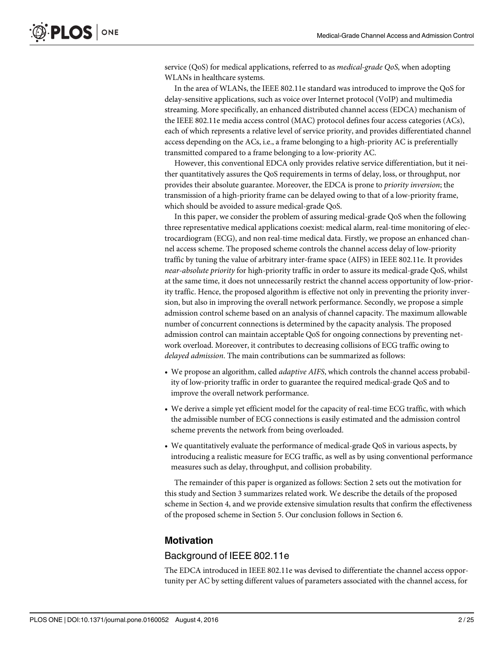service (QoS) for medical applications, referred to as *medical-grade QoS*, when adopting WLANs in healthcare systems.

In the area of WLANs, the IEEE 802.11e standard was introduced to improve the QoS for delay-sensitive applications, such as voice over Internet protocol (VoIP) and multimedia streaming. More specifically, an enhanced distributed channel access (EDCA) mechanism of the IEEE 802.11e media access control (MAC) protocol defines four access categories (ACs), each of which represents a relative level of service priority, and provides differentiated channel access depending on the ACs, i.e., a frame belonging to a high-priority AC is preferentially transmitted compared to a frame belonging to a low-priority AC.

However, this conventional EDCA only provides relative service differentiation, but it neither quantitatively assures the QoS requirements in terms of delay, loss, or throughput, nor provides their absolute guarantee. Moreover, the EDCA is prone to priority inversion; the transmission of a high-priority frame can be delayed owing to that of a low-priority frame, which should be avoided to assure medical-grade QoS.

In this paper, we consider the problem of assuring medical-grade QoS when the following three representative medical applications coexist: medical alarm, real-time monitoring of electrocardiogram (ECG), and non real-time medical data. Firstly, we propose an enhanced channel access scheme. The proposed scheme controls the channel access delay of low-priority traffic by tuning the value of arbitrary inter-frame space (AIFS) in IEEE 802.11e. It provides near-absolute priority for high-priority traffic in order to assure its medical-grade QoS, whilst at the same time, it does not unnecessarily restrict the channel access opportunity of low-priority traffic. Hence, the proposed algorithm is effective not only in preventing the priority inversion, but also in improving the overall network performance. Secondly, we propose a simple admission control scheme based on an analysis of channel capacity. The maximum allowable number of concurrent connections is determined by the capacity analysis. The proposed admission control can maintain acceptable QoS for ongoing connections by preventing network overload. Moreover, it contributes to decreasing collisions of ECG traffic owing to delayed admission. The main contributions can be summarized as follows:

- We propose an algorithm, called adaptive AIFS, which controls the channel access probability of low-priority traffic in order to guarantee the required medical-grade QoS and to improve the overall network performance.
- We derive a simple yet efficient model for the capacity of real-time ECG traffic, with which the admissible number of ECG connections is easily estimated and the admission control scheme prevents the network from being overloaded.
- We quantitatively evaluate the performance of medical-grade QoS in various aspects, by introducing a realistic measure for ECG traffic, as well as by using conventional performance measures such as delay, throughput, and collision probability.

The remainder of this paper is organized as follows: Section 2 sets out the motivation for this study and Section 3 summarizes related work. We describe the details of the proposed scheme in Section 4, and we provide extensive simulation results that confirm the effectiveness of the proposed scheme in Section 5. Our conclusion follows in Section 6.

#### **Motivation**

#### Background of IEEE 802.11e

The EDCA introduced in IEEE 802.11e was devised to differentiate the channel access opportunity per AC by setting different values of parameters associated with the channel access, for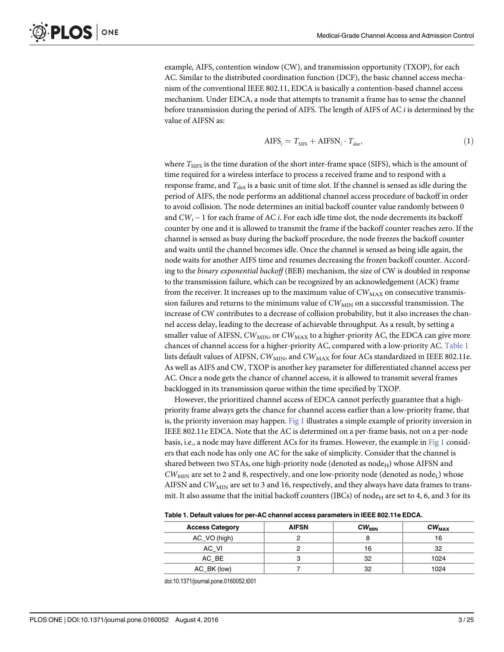example, AIFS, contention window (CW), and transmission opportunity (TXOP), for each AC. Similar to the distributed coordination function (DCF), the basic channel access mechanism of the conventional IEEE 802.11, EDCA is basically a contention-based channel access mechanism. Under EDCA, a node that attempts to transmit a frame has to sense the channel before transmission during the period of AIFS. The length of AIFS of AC i is determined by the value of AIFSN as:

$$
AIFS_i = T_{SIFS} + AIFSN_i \cdot T_{slot}, \qquad (1)
$$

where  $T_{\text{SIFS}}$  is the time duration of the short inter-frame space (SIFS), which is the amount of time required for a wireless interface to process a received frame and to respond with a response frame, and  $T_{slot}$  is a basic unit of time slot. If the channel is sensed as idle during the period of AIFS, the node performs an additional channel access procedure of backoff in order to avoid collision. The node determines an initial backoff counter value randomly between 0 and  $CW_i - 1$  for each frame of AC *i*. For each idle time slot, the node decrements its backoff counter by one and it is allowed to transmit the frame if the backoff counter reaches zero. If the channel is sensed as busy during the backoff procedure, the node freezes the backoff counter and waits until the channel becomes idle. Once the channel is sensed as being idle again, the node waits for another AIFS time and resumes decreasing the frozen backoff counter. According to the binary exponential backoff (BEB) mechanism, the size of CW is doubled in response to the transmission failure, which can be recognized by an acknowledgement (ACK) frame from the receiver. It increases up to the maximum value of  $CW_{MAX}$  on consecutive transmission failures and returns to the minimum value of  $CW_{\rm MIN}$  on a successful transmission. The increase of CW contributes to a decrease of collision probability, but it also increases the channel access delay, leading to the decrease of achievable throughput. As a result, by setting a smaller value of AIFSN,  $CW_{MIN}$ , or  $CW_{MAX}$  to a higher-priority AC, the EDCA can give more chances of channel access for a higher-priority AC, compared with a low-priority AC. Table 1 lists default values of AIFSN,  $CW_{MIN}$ , and  $CW_{MAX}$  for four ACs standardized in IEEE 802.11e. As well as AIFS and CW, TXOP is another key parameter for differentiated channel access per AC. Once a node gets the chance of channel access, it is allowed to transmit several frames backlogged in its transmission queue within the time specified by TXOP.

However, the prioritized channel access of EDCA cannot perfectly guarantee that a highpriority frame always gets the chance for channel access earlier than a low-priority frame, that is, the priority inversion may happen. Fig  $1$  illustrates a simple example of priority inversion in IEEE 802.11e EDCA. Note that the AC is determined on a per-frame basis, not on a per-node basis, i.e., a node may have different ACs for its frames. However, the example in [Fig 1](#page-3-0) considers that each node has only one AC for the sake of simplicity. Consider that the channel is shared between two STAs, one high-priority node (denoted as node $_H$ ) whose AIFSN and  $CW_{MIN}$  are set to 2 and 8, respectively, and one low-priority node (denoted as node<sub>L</sub>) whose AIFSN and  $CW_{MIN}$  are set to 3 and 16, respectively, and they always have data frames to transmit. It also assume that the initial backoff counters (IBCs) of node $_H$  are set to 4, 6, and 3 for its

Table 1. Default values for per-AC channel access parameters in IEEE 802.11e EDCA.

| <b>Access Category</b> | <b>AIFSN</b> | $CW_{MIN}$ | $CW_{MAX}$ |
|------------------------|--------------|------------|------------|
| $AC_VO$ (high)         |              |            | 16         |
| AC VI                  |              | 16         | 32         |
| AC BE                  | 3            | 32         | 1024       |
| AC_BK (low)            |              | 32         | 1024       |

doi:10.1371/journal.pone.0160052.t001

<span id="page-2-0"></span>**PLOS** 

ONE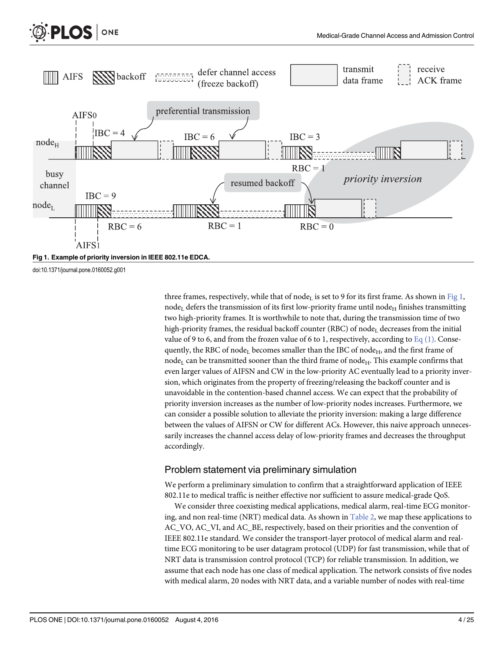<span id="page-3-0"></span>



doi:10.1371/journal.pone.0160052.g001

three frames, respectively, while that of node<sub>L</sub> is set to 9 for its first frame. As shown in Fig 1, node<sub>L</sub> defers the transmission of its first low-priority frame until node<sub>H</sub> finishes transmitting two high-priority frames. It is worthwhile to note that, during the transmission time of two high-priority frames, the residual backoff counter (RBC) of node<sub>L</sub> decreases from the initial value of 9 to 6, and from the frozen value of 6 to 1, respectively, according to  $Eq(1)$ . Consequently, the RBC of node<sub>L</sub> becomes smaller than the IBC of node<sub>H</sub>, and the first frame of node<sub>L</sub> can be transmitted sooner than the third frame of node $_{H}$ . This example confirms that even larger values of AIFSN and CW in the low-priority AC eventually lead to a priority inversion, which originates from the property of freezing/releasing the backoff counter and is unavoidable in the contention-based channel access. We can expect that the probability of priority inversion increases as the number of low-priority nodes increases. Furthermore, we can consider a possible solution to alleviate the priority inversion: making a large difference between the values of AIFSN or CW for different ACs. However, this naive approach unnecessarily increases the channel access delay of low-priority frames and decreases the throughput accordingly.

#### Problem statement via preliminary simulation

We perform a preliminary simulation to confirm that a straightforward application of IEEE 802.11e to medical traffic is neither effective nor sufficient to assure medical-grade QoS.

We consider three coexisting medical applications, medical alarm, real-time ECG monitoring, and non real-time (NRT) medical data. As shown in [Table 2,](#page-4-0) we map these applications to AC\_VO, AC\_VI, and AC\_BE, respectively, based on their priorities and the convention of IEEE 802.11e standard. We consider the transport-layer protocol of medical alarm and realtime ECG monitoring to be user datagram protocol (UDP) for fast transmission, while that of NRT data is transmission control protocol (TCP) for reliable transmission. In addition, we assume that each node has one class of medical application. The network consists of five nodes with medical alarm, 20 nodes with NRT data, and a variable number of nodes with real-time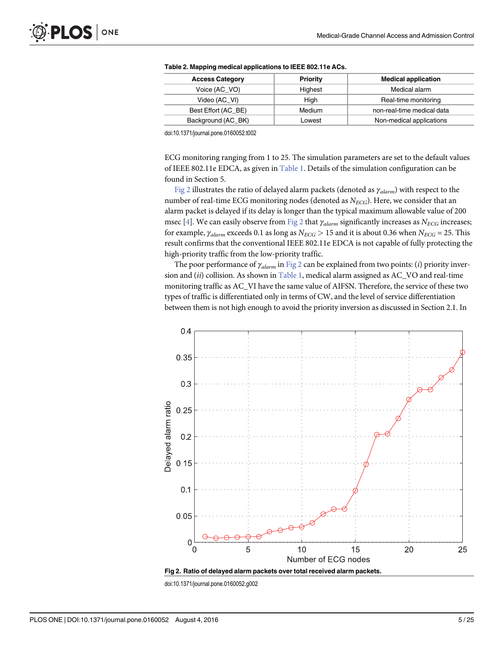| <b>Access Category</b> | <b>Priority</b> | <b>Medical application</b> |  |  |
|------------------------|-----------------|----------------------------|--|--|
| Voice (AC_VO)          | Highest         | Medical alarm              |  |  |
| Video (AC VI)          | High            | Real-time monitoring       |  |  |
| Best Effort (AC BE)    | Medium          | non-real-time medical data |  |  |
| Background (AC_BK)     | Lowest          | Non-medical applications   |  |  |

<span id="page-4-0"></span>[Table 2. M](#page-3-0)apping medical applications to IEEE 802.11e ACs.

doi:10.1371/journal.pone.0160052.t002

ECG monitoring ranging from 1 to 25. The simulation parameters are set to the default values of IEEE 802.11e EDCA, as given in [Table 1](#page-2-0). Details of the simulation configuration can be found in Section 5.

Fig 2 illustrates the ratio of delayed alarm packets (denoted as  $\gamma_{alarm}$ ) with respect to the number of real-time ECG monitoring nodes (denoted as  $N_{ECG}$ ). Here, we consider that an alarm packet is delayed if its delay is longer than the typical maximum allowable value of 200 msec [[4\]](#page-23-0). We can easily observe from Fig 2 that  $\gamma_{alarm}$  significantly increases as  $N_{ECG}$  increases; for example,  $\gamma_{alarm}$  exceeds 0.1 as long as  $N_{ECG}$  > 15 and it is about 0.36 when  $N_{ECG}$  = 25. This result confirms that the conventional IEEE 802.11e EDCA is not capable of fully protecting the high-priority traffic from the low-priority traffic.

The poor performance of  $\gamma_{alarm}$  in Fig 2 can be explained from two points: (i) priority inver-sion and (ii) collision. As shown in [Table 1](#page-2-0), medical alarm assigned as  $AC$ <sub>-</sub>VO and real-time monitoring traffic as AC\_VI have the same value of AIFSN. Therefore, the service of these two types of traffic is differentiated only in terms of CW, and the level of service differentiation between them is not high enough to avoid the priority inversion as discussed in Section 2.1. In



doi:10.1371/journal.pone.0160052.g002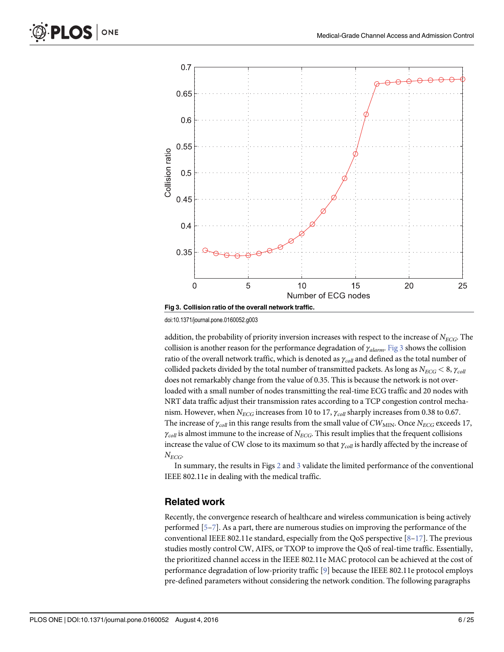

Fig 3. Collision ratio of the overall network traffic.

doi:10.1371/journal.pone.0160052.g003

addition, the probability of priority inversion increases with respect to the increase of  $N_{ECG}$ . The collision is another reason for the performance degradation of  $\gamma_{alarm}$ . Fig 3 shows the collision ratio of the overall network traffic, which is denoted as  $\gamma_{coll}$  and defined as the total number of collided packets divided by the total number of transmitted packets. As long as  $N_{ECG}$  < 8,  $\gamma_{coll}$ does not remarkably change from the value of 0.35. This is because the network is not overloaded with a small number of nodes transmitting the real-time ECG traffic and 20 nodes with NRT data traffic adjust their transmission rates according to a TCP congestion control mechanism. However, when  $N_{ECG}$  increases from 10 to 17,  $\gamma_{coll}$  sharply increases from 0.38 to 0.67. The increase of  $\gamma_{coll}$  in this range results from the small value of  $CW_{MIN}$ . Once  $N_{ECG}$  exceeds 17,  $\gamma_{coll}$  is almost immune to the increase of  $N_{ECG}$ . This result implies that the frequent collisions increase the value of CW close to its maximum so that  $\gamma_{coll}$  is hardly affected by the increase of  $N_{ECG}$ 

In summary, the results in Figs  $2$  and  $3$  validate the limited performance of the conventional IEEE 802.11e in dealing with the medical traffic.

#### Related work

Recently, the convergence research of healthcare and wireless communication is being actively performed [[5](#page-23-0)–[7](#page-24-0)]. As a part, there are numerous studies on improving the performance of the conventional IEEE [8](#page-24-0)02.11e standard, especially from the QoS perspective  $[8-17]$  $[8-17]$  $[8-17]$ . The previous studies mostly control CW, AIFS, or TXOP to improve the QoS of real-time traffic. Essentially, the prioritized channel access in the IEEE 802.11e MAC protocol can be achieved at the cost of performance degradation of low-priority traffic [[9\]](#page-24-0) because the IEEE 802.11e protocol employs pre-defined parameters without considering the network condition. The following paragraphs

ONE

<span id="page-5-0"></span>**OS**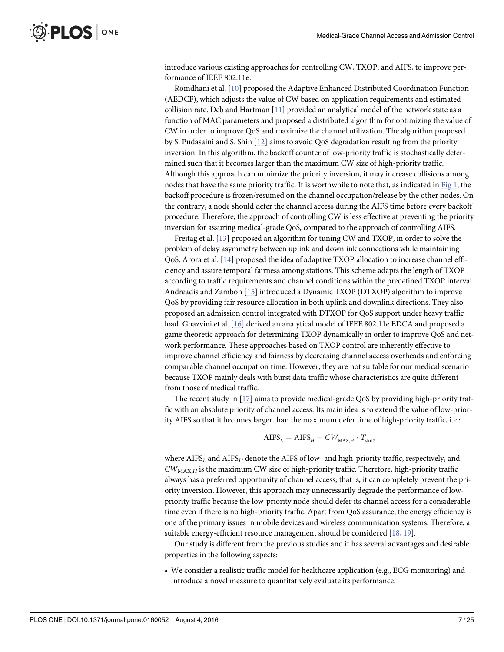<span id="page-6-0"></span>introduce various existing approaches for controlling CW, TXOP, and AIFS, to improve performance of IEEE 802.11e.

Romdhani et al. [[10](#page-24-0)] proposed the Adaptive Enhanced Distributed Coordination Function (AEDCF), which adjusts the value of CW based on application requirements and estimated collision rate. Deb and Hartman [\[11\]](#page-24-0) provided an analytical model of the network state as a function of MAC parameters and proposed a distributed algorithm for optimizing the value of CW in order to improve QoS and maximize the channel utilization. The algorithm proposed by S. Pudasaini and S. Shin [\[12\]](#page-24-0) aims to avoid QoS degradation resulting from the priority inversion. In this algorithm, the backoff counter of low-priority traffic is stochastically determined such that it becomes larger than the maximum CW size of high-priority traffic. Although this approach can minimize the priority inversion, it may increase collisions among nodes that have the same priority traffic. It is worthwhile to note that, as indicated in [Fig 1,](#page-3-0) the backoff procedure is frozen/resumed on the channel occupation/release by the other nodes. On the contrary, a node should defer the channel access during the AIFS time before every backoff procedure. Therefore, the approach of controlling CW is less effective at preventing the priority inversion for assuring medical-grade QoS, compared to the approach of controlling AIFS.

Freitag et al. [[13\]](#page-24-0) proposed an algorithm for tuning CW and TXOP, in order to solve the problem of delay asymmetry between uplink and downlink connections while maintaining QoS. Arora et al. [\[14\]](#page-24-0) proposed the idea of adaptive TXOP allocation to increase channel efficiency and assure temporal fairness among stations. This scheme adapts the length of TXOP according to traffic requirements and channel conditions within the predefined TXOP interval. Andreadis and Zambon [\[15\]](#page-24-0) introduced a Dynamic TXOP (DTXOP) algorithm to improve QoS by providing fair resource allocation in both uplink and downlink directions. They also proposed an admission control integrated with DTXOP for QoS support under heavy traffic load. Ghazvini et al. [[16\]](#page-24-0) derived an analytical model of IEEE 802.11e EDCA and proposed a game theoretic approach for determining TXOP dynamically in order to improve QoS and network performance. These approaches based on TXOP control are inherently effective to improve channel efficiency and fairness by decreasing channel access overheads and enforcing comparable channel occupation time. However, they are not suitable for our medical scenario because TXOP mainly deals with burst data traffic whose characteristics are quite different from those of medical traffic.

The recent study in [\[17\]](#page-24-0) aims to provide medical-grade QoS by providing high-priority traffic with an absolute priority of channel access. Its main idea is to extend the value of low-priority AIFS so that it becomes larger than the maximum defer time of high-priority traffic, i.e.:

$$
AIFS_{L} = AIFS_{H} + CW_{MAX,H} \cdot T_{slot},
$$

where  $AIFS<sub>L</sub>$  and  $AIFS<sub>H</sub>$  denote the AIFS of low- and high-priority traffic, respectively, and  $CW_{MAX,H}$  is the maximum CW size of high-priority traffic. Therefore, high-priority traffic always has a preferred opportunity of channel access; that is, it can completely prevent the priority inversion. However, this approach may unnecessarily degrade the performance of lowpriority traffic because the low-priority node should defer its channel access for a considerable time even if there is no high-priority traffic. Apart from QoS assurance, the energy efficiency is one of the primary issues in mobile devices and wireless communication systems. Therefore, a suitable energy-efficient resource management should be considered [\[18,](#page-24-0) [19\]](#page-24-0).

Our study is different from the previous studies and it has several advantages and desirable properties in the following aspects:

• We consider a realistic traffic model for healthcare application (e.g., ECG monitoring) and introduce a novel measure to quantitatively evaluate its performance.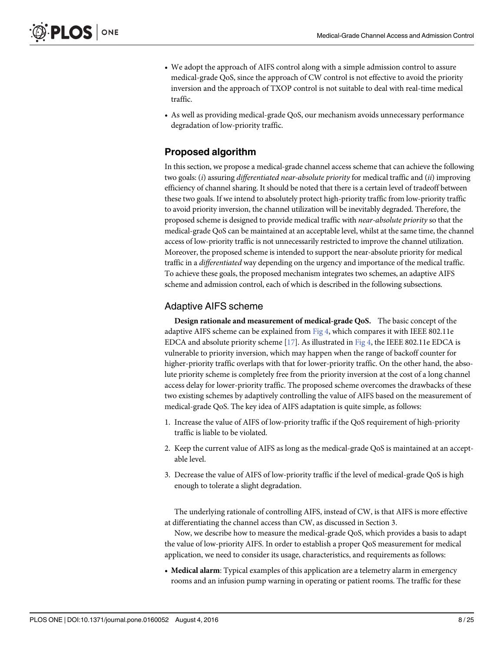- <span id="page-7-0"></span>• We adopt the approach of AIFS control along with a simple admission control to assure medical-grade QoS, since the approach of CW control is not effective to avoid the priority inversion and the approach of TXOP control is not suitable to deal with real-time medical traffic.
- As well as providing medical-grade QoS, our mechanism avoids unnecessary performance degradation of low-priority traffic.

## Proposed algorithm

In this section, we propose a medical-grade channel access scheme that can achieve the following two goals: (i) assuring differentiated near-absolute priority for medical traffic and (ii) improving efficiency of channel sharing. It should be noted that there is a certain level of tradeoff between these two goals. If we intend to absolutely protect high-priority traffic from low-priority traffic to avoid priority inversion, the channel utilization will be inevitably degraded. Therefore, the proposed scheme is designed to provide medical traffic with near-absolute priority so that the medical-grade QoS can be maintained at an acceptable level, whilst at the same time, the channel access of low-priority traffic is not unnecessarily restricted to improve the channel utilization. Moreover, the proposed scheme is intended to support the near-absolute priority for medical traffic in a differentiated way depending on the urgency and importance of the medical traffic. To achieve these goals, the proposed mechanism integrates two schemes, an adaptive AIFS scheme and admission control, each of which is described in the following subsections.

#### Adaptive AIFS scheme

Design rationale and measurement of medical-grade QoS. The basic concept of the adaptive AIFS scheme can be explained from  $Fig 4$ , which compares it with IEEE 802.11e EDCA and absolute priority scheme  $[17]$  $[17]$  $[17]$ . As illustrated in [Fig 4,](#page-8-0) the IEEE 802.11e EDCA is vulnerable to priority inversion, which may happen when the range of backoff counter for higher-priority traffic overlaps with that for lower-priority traffic. On the other hand, the absolute priority scheme is completely free from the priority inversion at the cost of a long channel access delay for lower-priority traffic. The proposed scheme overcomes the drawbacks of these two existing schemes by adaptively controlling the value of AIFS based on the measurement of medical-grade QoS. The key idea of AIFS adaptation is quite simple, as follows:

- 1. Increase the value of AIFS of low-priority traffic if the QoS requirement of high-priority traffic is liable to be violated.
- 2. Keep the current value of AIFS as long as the medical-grade QoS is maintained at an acceptable level.
- 3. Decrease the value of AIFS of low-priority traffic if the level of medical-grade QoS is high enough to tolerate a slight degradation.

The underlying rationale of controlling AIFS, instead of CW, is that AIFS is more effective at differentiating the channel access than CW, as discussed in Section 3.

Now, we describe how to measure the medical-grade QoS, which provides a basis to adapt the value of low-priority AIFS. In order to establish a proper QoS measurement for medical application, we need to consider its usage, characteristics, and requirements as follows:

• Medical alarm: Typical examples of this application are a telemetry alarm in emergency rooms and an infusion pump warning in operating or patient rooms. The traffic for these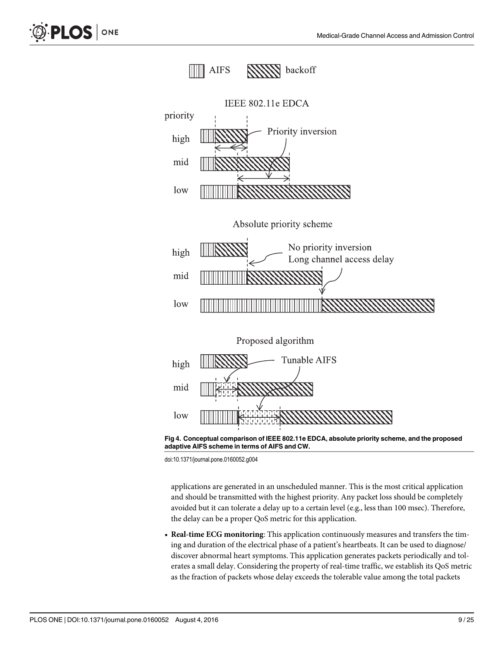<span id="page-8-0"></span>ONE

**NXW** backoff **AIFS** 





doi:10.1371/journal.pone.0160052.g004

applications are generated in an unscheduled manner. This is the most critical application and should be transmitted with the highest priority. Any packet loss should be completely avoided but it can tolerate a delay up to a certain level (e.g., less than 100 msec). Therefore, the delay can be a proper QoS metric for this application.

• Real-time ECG monitoring: This application continuously measures and transfers the timing and duration of the electrical phase of a patient's heartbeats. It can be used to diagnose/ discover abnormal heart symptoms. This application generates packets periodically and tolerates a small delay. Considering the property of real-time traffic, we establish its QoS metric as the fraction of packets whose delay exceeds the tolerable value among the total packets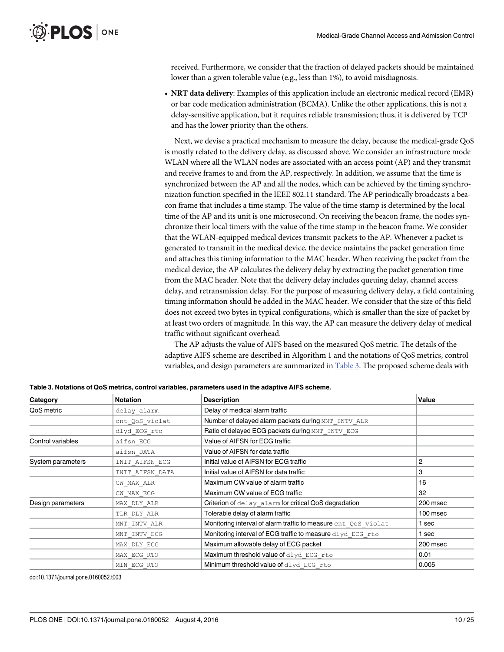received. Furthermore, we consider that the fraction of delayed packets should be maintained lower than a given tolerable value (e.g., less than 1%), to avoid misdiagnosis.

• NRT data delivery: Examples of this application include an electronic medical record (EMR) or bar code medication administration (BCMA). Unlike the other applications, this is not a delay-sensitive application, but it requires reliable transmission; thus, it is delivered by TCP and has the lower priority than the others.

Next, we devise a practical mechanism to measure the delay, because the medical-grade QoS is mostly related to the delivery delay, as discussed above. We consider an infrastructure mode WLAN where all the WLAN nodes are associated with an access point (AP) and they transmit and receive frames to and from the AP, respectively. In addition, we assume that the time is synchronized between the AP and all the nodes, which can be achieved by the timing synchronization function specified in the IEEE 802.11 standard. The AP periodically broadcasts a beacon frame that includes a time stamp. The value of the time stamp is determined by the local time of the AP and its unit is one microsecond. On receiving the beacon frame, the nodes synchronize their local timers with the value of the time stamp in the beacon frame. We consider that the WLAN-equipped medical devices transmit packets to the AP. Whenever a packet is generated to transmit in the medical device, the device maintains the packet generation time and attaches this timing information to the MAC header. When receiving the packet from the medical device, the AP calculates the delivery delay by extracting the packet generation time from the MAC header. Note that the delivery delay includes queuing delay, channel access delay, and retransmission delay. For the purpose of measuring delivery delay, a field containing timing information should be added in the MAC header. We consider that the size of this field does not exceed two bytes in typical configurations, which is smaller than the size of packet by at least two orders of magnitude. In this way, the AP can measure the delivery delay of medical traffic without significant overhead.

The AP adjusts the value of AIFS based on the measured QoS metric. The details of the adaptive AIFS scheme are described in Algorithm 1 and the notations of QoS metrics, control variables, and design parameters are summarized in Table 3. The proposed scheme deals with

| Category          | <b>Notation</b> | <b>Description</b>                                             | Value          |
|-------------------|-----------------|----------------------------------------------------------------|----------------|
| QoS metric        | delay alarm     | Delay of medical alarm traffic                                 |                |
|                   | cnt QoS violat  | Number of delayed alarm packets during MNT INTV ALR            |                |
|                   | dlyd ECG rto    | Ratio of delayed ECG packets during MNT INTV ECG               |                |
| Control variables | aifsn ECG       | Value of AIFSN for ECG traffic                                 |                |
|                   | aifsn DATA      | Value of AIFSN for data traffic                                |                |
| System parameters | INIT AIFSN ECG  | Initial value of AIFSN for ECG traffic                         | $\overline{2}$ |
|                   | INIT AIFSN DATA | Initial value of AIFSN for data traffic                        | 3              |
|                   | CW MAX ALR      | Maximum CW value of alarm traffic                              | 16             |
|                   | CW MAX ECG      | Maximum CW value of ECG traffic                                | 32             |
| Design parameters | MAX DLY ALR     | Criterion of delay alarm for critical QoS degradation          | 200 msec       |
|                   | TLR DLY ALR     | Tolerable delay of alarm traffic                               | 100 msec       |
|                   | MNT INTV ALR    | Monitoring interval of alarm traffic to measure cnt QoS violat | 1 sec          |
|                   | MNT INTV ECG    | Monitoring interval of ECG traffic to measure dlyd ECG rto     | 1 sec          |
|                   | MAX DLY ECG     | Maximum allowable delay of ECG packet                          | 200 msec       |
|                   | MAX ECG RTO     | Maximum threshold value of dlyd ECG rto                        | 0.01           |
|                   | MIN ECG RTO     | Minimum threshold value of dlyd ECG rto                        | 0.005          |

Table 3. Notations of QoS metrics, control variables, parameters used in the adaptive AIFS scheme.

doi:10.1371/journal.pone.0160052.t003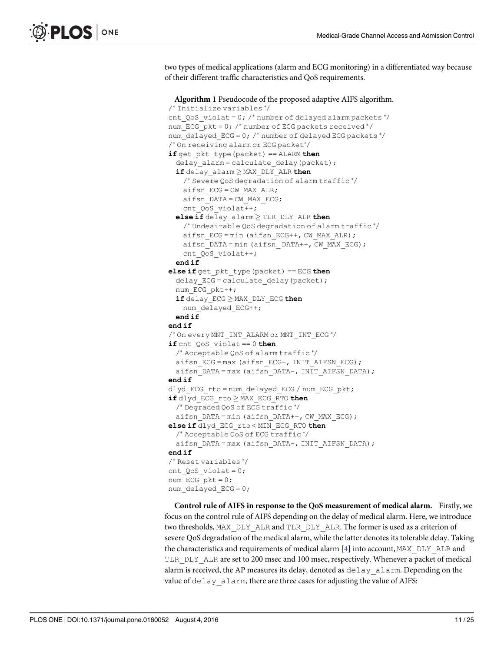two types of medical applications (alarm and ECG monitoring) in a differentiated way because of their different traffic characteristics and QoS requirements.

#### Algorithm 1 Pseudocode of the proposed adaptive AIFS algorithm.

```
/* Initialize variables */
cnt_QoS_violat = 0; /* number of delayed alarm packets */
num_ECG_pkt = 0; /* number of ECG packets received */
num_delayed_ECG = 0; /* number of delayed ECG packets */
/* On receiving alarm or ECG packet*/
if get pkt type(packet) == ALARM then
 delay alarm = calculate delay(packet);
 \texttt{if} delay_alarm\geq MAX_DLY_ALR then
    /* Severe QoS degradation of alarm traffic*/
   aifsn_ECG = CW_MAX_ALR;
   aifsn_DATA = CW_MAX_ECG;
   cnt QoS violat++;
 else if delay alarm \geq TLR DLY ALR then
    /* Undesirable QoS degradation of alarm traffic */
   aifsn ECG = min (aifsn ECG++, CW_MAX_ALR);
   aifsn DATA = min (aifsn DATA++, CW MAX ECG);
   cnt QoS violat++;
 end if
else if get pkt type (packet) == ECG then
 delay ECG = calculate delay(packet);
 num_ECG_pkt++;
 \texttt{if} \texttt{delay\_ECG} \geq \texttt{MAX} DLY ECG then
   num delayed ECG++;
 end if
end if
/* On every MNT_INT_ALARM or MNT_INT_ECG */
if cnt_QoS_violat == 0 then
  /* Acceptable QoS of alarm traffic*/
 aifsn ECG = max (aifsn ECG-, INIT AIFSN ECG);
 aifsn_DATA = max (aifsn_DATA-, INIT_AIFSN_DATA);
end if
dlyd ECG rto = num_delayed ECG / num_ECG_pkt;
\texttt{if} \text{ dlyd\_ECG\_rto} \geq \texttt{MAX\_ECG\_RTO} then
  /* Degraded QoS of ECG traffic<sup>*</sup>/
 aifsn_DATA = min (aifsn_DATA++, CW_MAX_ECG);
else if dlyd ECG rto < MIN ECG RTO then
  /* Acceptable QoS of ECG traffic */
 aifsn_DATA = max (aifsn_DATA–, INIT_AIFSN_DATA);
end if
/* Reset variables */
cnt QoS violat = 0;
num ECG pkt = 0;num delayed ECG = 0;
```
Control rule of AIFS in response to the QoS measurement of medical alarm. Firstly, we focus on the control rule of AIFS depending on the delay of medical alarm. Here, we introduce two thresholds, MAX\_DLY\_ALR and TLR\_DLY\_ALR. The former is used as a criterion of severe QoS degradation of the medical alarm, while the latter denotes its tolerable delay. Taking the characteristics and requirements of medical alarm [\[4\]](#page-23-0) into account, MAX\_DLY\_ALR and TLR\_DLY\_ALR are set to 200 msec and 100 msec, respectively. Whenever a packet of medical alarm is received, the AP measures its delay, denoted as delay alarm. Depending on the value of delay alarm, there are three cases for adjusting the value of AIFS: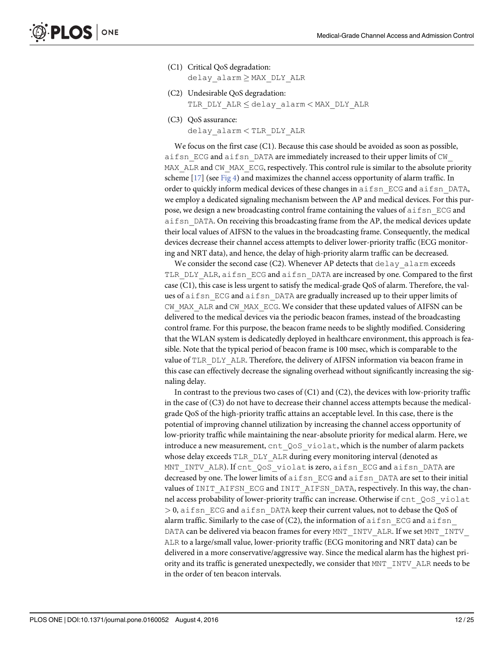- (C1) Critical QoS degradation: delay alarm  $\geq$  MAX DLY ALR
- (C2) Undesirable QoS degradation: TLR\_DLY\_ALR < delay\_alarm < MAX\_DLY\_ALR
- (C3) QoS assurance: delay\_alarm < TLR\_DLY\_ALR

We focus on the first case (C1). Because this case should be avoided as soon as possible, aifsn\_ECG and aifsn\_DATA are immediately increased to their upper limits of CW MAX\_ALR and CW\_MAX\_ECG, respectively. This control rule is similar to the absolute priority scheme [\[17\]](#page-24-0) (see [Fig 4\)](#page-8-0) and maximizes the channel access opportunity of alarm traffic. In order to quickly inform medical devices of these changes in aifsn\_ECG and aifsn\_DATA, we employ a dedicated signaling mechanism between the AP and medical devices. For this purpose, we design a new broadcasting control frame containing the values of  $a$ ifsn  $ECG$  and aifsn\_DATA. On receiving this broadcasting frame from the AP, the medical devices update their local values of AIFSN to the values in the broadcasting frame. Consequently, the medical devices decrease their channel access attempts to deliver lower-priority traffic (ECG monitoring and NRT data), and hence, the delay of high-priority alarm traffic can be decreased.

We consider the second case (C2). Whenever AP detects that delay alarm exceeds TLR\_DLY\_ALR, aifsn\_ECG and aifsn\_DATA are increased by one. Compared to the first case (C1), this case is less urgent to satisfy the medical-grade QoS of alarm. Therefore, the values of aifsn\_ECG and aifsn\_DATA are gradually increased up to their upper limits of CW\_MAX\_ALR and CW\_MAX\_ECG. We consider that these updated values of AIFSN can be delivered to the medical devices via the periodic beacon frames, instead of the broadcasting control frame. For this purpose, the beacon frame needs to be slightly modified. Considering that the WLAN system is dedicatedly deployed in healthcare environment, this approach is feasible. Note that the typical period of beacon frame is 100 msec, which is comparable to the value of TLR\_DLY\_ALR. Therefore, the delivery of AIFSN information via beacon frame in this case can effectively decrease the signaling overhead without significantly increasing the signaling delay.

In contrast to the previous two cases of (C1) and (C2), the devices with low-priority traffic in the case of (C3) do not have to decrease their channel access attempts because the medicalgrade QoS of the high-priority traffic attains an acceptable level. In this case, there is the potential of improving channel utilization by increasing the channel access opportunity of low-priority traffic while maintaining the near-absolute priority for medical alarm. Here, we introduce a new measurement, cnt\_QoS\_violat, which is the number of alarm packets whose delay exceeds TLR\_DLY\_ALR during every monitoring interval (denoted as MNT\_INTV\_ALR). If cnt QoS\_violat is zero, aifsn\_ECG and aifsn\_DATA are decreased by one. The lower limits of aifsn ECG and aifsn DATA are set to their initial values of INIT\_AIFSN\_ECG and INIT\_AIFSN\_DATA, respectively. In this way, the channel access probability of lower-priority traffic can increase. Otherwise if cnt\_QoS\_violat > 0, aifsn ECG and aifsn DATA keep their current values, not to debase the QoS of alarm traffic. Similarly to the case of (C2), the information of  $a$ ifsn  $ECG$  and  $a$ ifsn DATA can be delivered via beacon frames for every MNT\_INTV\_ALR. If we set MNT\_INTV ALR to a large/small value, lower-priority traffic (ECG monitoring and NRT data) can be delivered in a more conservative/aggressive way. Since the medical alarm has the highest priority and its traffic is generated unexpectedly, we consider that MNT\_INTV\_ALR needs to be in the order of ten beacon intervals.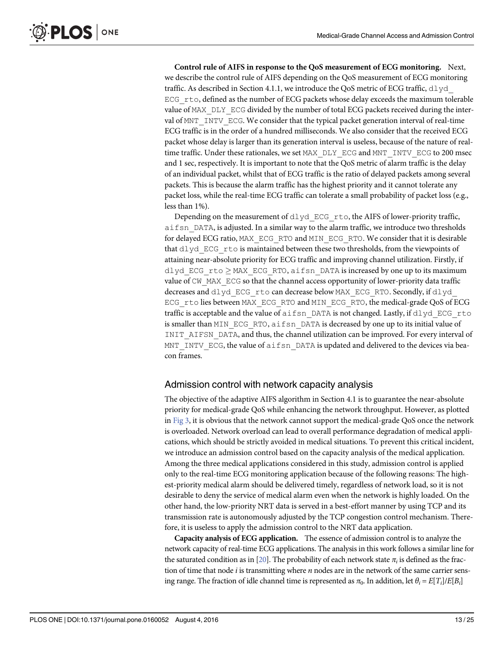<span id="page-12-0"></span>Control rule of AIFS in response to the QoS measurement of ECG monitoring. Next, we describe the control rule of AIFS depending on the QoS measurement of ECG monitoring traffic. As described in Section 4.1.1, we introduce the QoS metric of ECG traffic,  $dlyd$ ECG rto, defined as the number of ECG packets whose delay exceeds the maximum tolerable value of MAX DLY ECG divided by the number of total ECG packets received during the interval of MNT\_INTV\_ECG. We consider that the typical packet generation interval of real-time ECG traffic is in the order of a hundred milliseconds. We also consider that the received ECG packet whose delay is larger than its generation interval is useless, because of the nature of realtime traffic. Under these rationales, we set MAX\_DLY\_ECG and MNT\_INTV\_ECG to 200 msec and 1 sec, respectively. It is important to note that the QoS metric of alarm traffic is the delay of an individual packet, whilst that of ECG traffic is the ratio of delayed packets among several packets. This is because the alarm traffic has the highest priority and it cannot tolerate any packet loss, while the real-time ECG traffic can tolerate a small probability of packet loss (e.g., less than 1%).

Depending on the measurement of dlyd ECG rto, the AIFS of lower-priority traffic, aifsn\_DATA, is adjusted. In a similar way to the alarm traffic, we introduce two thresholds for delayed ECG ratio, MAX\_ECG\_RTO and MIN\_ECG\_RTO. We consider that it is desirable that dlyd\_ECG\_rto is maintained between these two thresholds, from the viewpoints of attaining near-absolute priority for ECG traffic and improving channel utilization. Firstly, if dlyd ECG rto  $\geq$  MAX ECG RTO, aifsn DATA is increased by one up to its maximum value of CW\_MAX\_ECG so that the channel access opportunity of lower-priority data traffic decreases and dlyd ECG rto can decrease below MAX ECG RTO. Secondly, if dlyd ECG rto lies between MAX\_ECG\_RTO and MIN\_ECG\_RTO, the medical-grade QoS of ECG traffic is acceptable and the value of aifsn DATA is not changed. Lastly, if dlyd ECG rto is smaller than MIN\_ECG\_RTO, aifsn\_DATA is decreased by one up to its initial value of INIT\_AIFSN\_DATA, and thus, the channel utilization can be improved. For every interval of MNT INTV ECG, the value of aifsn DATA is updated and delivered to the devices via beacon frames.

#### Admission control with network capacity analysis

The objective of the adaptive AIFS algorithm in Section 4.1 is to guarantee the near-absolute priority for medical-grade QoS while enhancing the network throughput. However, as plotted in Fig  $3$ , it is obvious that the network cannot support the medical-grade QoS once the network is overloaded. Network overload can lead to overall performance degradation of medical applications, which should be strictly avoided in medical situations. To prevent this critical incident, we introduce an admission control based on the capacity analysis of the medical application. Among the three medical applications considered in this study, admission control is applied only to the real-time ECG monitoring application because of the following reasons: The highest-priority medical alarm should be delivered timely, regardless of network load, so it is not desirable to deny the service of medical alarm even when the network is highly loaded. On the other hand, the low-priority NRT data is served in a best-effort manner by using TCP and its transmission rate is autonomously adjusted by the TCP congestion control mechanism. Therefore, it is useless to apply the admission control to the NRT data application.

Capacity analysis of ECG application. The essence of admission control is to analyze the network capacity of real-time ECG applications. The analysis in this work follows a similar line for the saturated condition as in [\[20\]](#page-24-0). The probability of each network state  $\pi_i$  is defined as the fraction of time that node  $i$  is transmitting where  $n$  nodes are in the network of the same carrier sensing range. The fraction of idle channel time is represented as  $\pi_0$ . In addition, let  $\theta_i = E[T_i]/E[B_i]$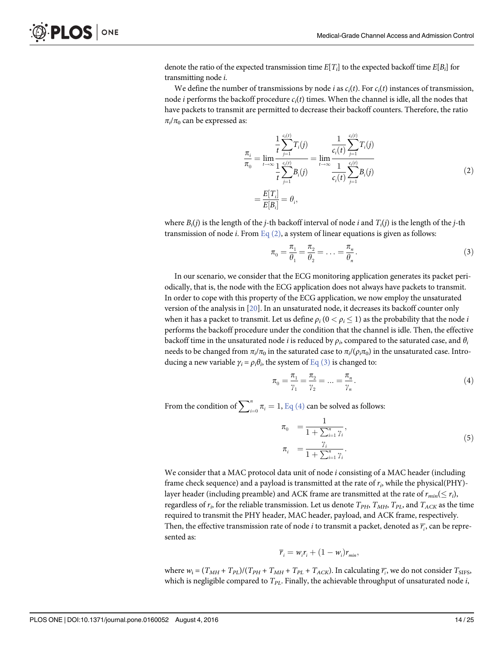<span id="page-13-0"></span>denote the ratio of the expected transmission time  $E[T_i]$  to the expected backoff time  $E[B_i]$  for transmitting node i.

We define the number of transmissions by node *i* as  $c<sub>i</sub>(t)$ . For  $c<sub>i</sub>(t)$  instances of transmission, node *i* performs the backoff procedure  $c_i(t)$  times. When the channel is idle, all the nodes that have packets to transmit are permitted to decrease their backoff counters. Therefore, the ratio  $\pi_i/\pi_0$  can be expressed as:

$$
\frac{\pi_i}{\pi_0} = \lim_{t \to \infty} \frac{\frac{1}{t} \sum_{j=1}^{c_i(t)} T_i(j)}{\frac{1}{t} \sum_{j=1}^{c_i(t)} B_i(j)} = \lim_{t \to \infty} \frac{\frac{1}{c_i(t)} \sum_{j=1}^{c_i(t)} T_i(j)}{\frac{1}{c_i(t)} \sum_{j=1}^{c_i(t)} B_i(j)}
$$
\n
$$
= \frac{E[T_i]}{E[B_i]} = \theta_i,
$$
\n(2)

where  $B_i(i)$  is the length of the j-th backoff interval of node i and  $T_i(i)$  is the length of the j-th transmission of node *i*. From  $Eq(2)$ , a system of linear equations is given as follows:

$$
\pi_0 = \frac{\pi_1}{\theta_1} = \frac{\pi_2}{\theta_2} = \ldots = \frac{\pi_n}{\theta_n}.
$$
\n(3)

In our scenario, we consider that the ECG monitoring application generates its packet periodically, that is, the node with the ECG application does not always have packets to transmit. In order to cope with this property of the ECG application, we now employ the unsaturated version of the analysis in [\[20\]](#page-24-0). In an unsaturated node, it decreases its backoff counter only when it has a packet to transmit. Let us define  $\rho_i$  ( $0 < \rho_i \le 1$ ) as the probability that the node i performs the backoff procedure under the condition that the channel is idle. Then, the effective backoff time in the unsaturated node *i* is reduced by  $\rho_i$ , compared to the saturated case, and  $\theta_i$ needs to be changed from  $\pi_i/\pi_0$  in the saturated case to  $\pi_i/(\rho_i\pi_0)$  in the unsaturated case. Introducing a new variable  $\gamma_i = \rho_i \theta_i$ , the system of Eq (3) is changed to:

$$
\pi_0 = \frac{\pi_1}{\gamma_1} = \frac{\pi_2}{\gamma_2} = \dots = \frac{\pi_n}{\gamma_n}.
$$
\n(4)

From the condition of  $\sum_{i=0}^{n} \pi_i = 1$ ,  $\underline{\text{Eq}}(4)$  can be solved as follows:

$$
\begin{aligned}\n\pi_0 &= \frac{1}{1 + \sum_{i=1}^n \gamma_i}, \\
\pi_i &= \frac{\gamma_i}{1 + \sum_{i=1}^n \gamma_i}.\n\end{aligned} \tag{5}
$$

We consider that a MAC protocol data unit of node *i* consisting of a MAC header (including frame check sequence) and a payload is transmitted at the rate of  $r_i$ , while the physical(PHY)layer header (including preamble) and ACK frame are transmitted at the rate of  $r_{min}(\leq r_i)$ , regardless of  $r_i$ , for the reliable transmission. Let us denote  $T_{PH}$ ,  $T_{MH}$ ,  $T_{PL}$ , and  $T_{ACK}$  as the time required to transmit the PHY header, MAC header, payload, and ACK frame, respectively. Then, the effective transmission rate of node *i* to transmit a packet, denoted as  $\overline{r_i}$ , can be represented as:

$$
\overline{r}_i = w_i r_i + (1 - w_i) r_{min},
$$

where  $w_i = (T_{MH} + T_{PL})/(T_{PH} + T_{MH} + T_{PL} + T_{ACK})$ . In calculating  $\overline{r_i}$ , we do not consider  $T_{SIFS}$ , which is negligible compared to  $T_{PL}$ . Finally, the achievable throughput of unsaturated node i,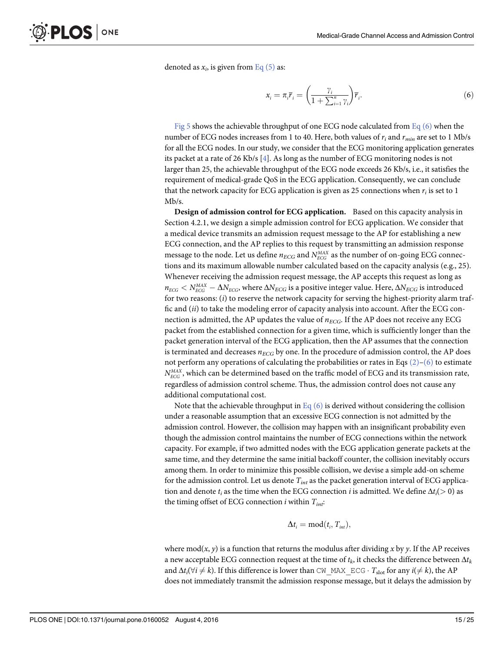<span id="page-14-0"></span>denoted as  $x_i$ , is given from [Eq \(5\)](#page-13-0) as:

$$
x_i = \pi_i \overline{r}_i = \left(\frac{\gamma_i}{1 + \sum_{i=1}^n \gamma_i}\right) \overline{r}_i.
$$
 (6)

[Fig 5](#page-15-0) shows the achievable throughput of one ECG node calculated from Eq  $(6)$  when the number of ECG nodes increases from 1 to 40. Here, both values of  $r_i$  and  $r_{min}$  are set to 1 Mb/s for all the ECG nodes. In our study, we consider that the ECG monitoring application generates its packet at a rate of 26 Kb/s [\[4](#page-23-0)]. As long as the number of ECG monitoring nodes is not larger than 25, the achievable throughput of the ECG node exceeds 26 Kb/s, i.e., it satisfies the requirement of medical-grade QoS in the ECG application. Consequently, we can conclude that the network capacity for ECG application is given as 25 connections when  $r_i$  is set to 1 Mb/s.

Design of admission control for ECG application. Based on this capacity analysis in Section 4.2.1, we design a simple admission control for ECG application. We consider that a medical device transmits an admission request message to the AP for establishing a new ECG connection, and the AP replies to this request by transmitting an admission response message to the node. Let us define  $n_{ECG}$  and  $N_{ECG}^{MAX}$  as the number of on-going ECG connections and its maximum allowable number calculated based on the capacity analysis (e.g., 25). Whenever receiving the admission request message, the AP accepts this request as long as  $n_{ECG} < N_{HCG}^{MAX} - \Delta N_{ECG}$ , where  $\Delta N_{ECG}$  is a positive integer value. Here,  $\Delta N_{ECG}$  is introduced<br>for two geographs (i) to geographs is a potwork some ity for soming the highest priority slamp to for two reasons: (i) to reserve the network capacity for serving the highest-priority alarm traffic and (ii) to take the modeling error of capacity analysis into account. After the ECG connection is admitted, the AP updates the value of  $n_{ECG}$ . If the AP does not receive any ECG packet from the established connection for a given time, which is sufficiently longer than the packet generation interval of the ECG application, then the AP assumes that the connection is terminated and decreases  $n_{ECG}$  by one. In the procedure of admission control, the AP does not perform any operations of calculating the probabilities or rates in Eqs  $(2)$ – $(6)$  to estimate  $N_{ECG}^{MAX}$ , which can be determined based on the traffic model of ECG and its transmission rate, regardless of admission control scheme. Thus, the admission control does not cause any additional computational cost.

Note that the achievable throughput in Eq  $(6)$  is derived without considering the collision under a reasonable assumption that an excessive ECG connection is not admitted by the admission control. However, the collision may happen with an insignificant probability even though the admission control maintains the number of ECG connections within the network capacity. For example, if two admitted nodes with the ECG application generate packets at the same time, and they determine the same initial backoff counter, the collision inevitably occurs among them. In order to minimize this possible collision, we devise a simple add-on scheme for the admission control. Let us denote  $T_{int}$  as the packet generation interval of ECG application and denote  $t_i$  as the time when the ECG connection i is admitted. We define  $\Delta t_i(>0)$  as the timing offset of ECG connection  $i$  within  $T_{int}$ :

$$
\Delta t_i = \text{mod}(t_i, T_{int}),
$$

where mod(x, y) is a function that returns the modulus after dividing x by y. If the AP receives a new acceptable ECG connection request at the time of  $t_k$ , it checks the difference between  $\Delta t_k$ and  $\Delta t_i(\forall i \neq k)$ . If this difference is lower than CW\_MAX\_ECG  $\cdot$  T<sub>slot</sub> for any  $i(\neq k)$ , the AP does not immediately transmit the admission response message, but it delays the admission by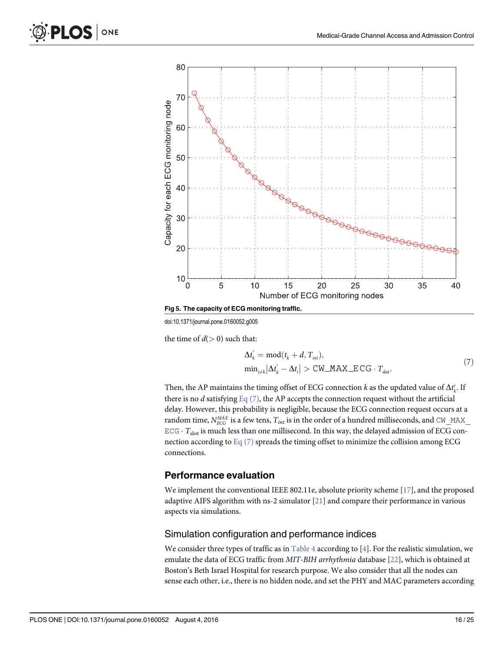<span id="page-15-0"></span>

doi:10.1371/journal.pone.0160052.g005

the time of  $d(> 0)$  such that:

$$
\Delta t'_{k} = \text{mod}(t_{k} + d, T_{int}),
$$
  
\n
$$
\text{min}_{i \neq k} |\Delta t'_{k} - \Delta t_{i}| > \text{CW\_MAX\_ECG} \cdot T_{slot}.
$$
\n(7)

Then, the AP maintains the timing offset of ECG connection  $k$  as the updated value of  $\Delta t'_{k}$ . If there is no  $d$  satisfying  $Eq(7)$ , the AP accepts the connection request without the artificial delay. However, this probability is negligible, because the ECG connection request occurs at a random time,  $N_{ECG}^{MAX}$  is a few tens,  $T_{int}$  is in the order of a hundred milliseconds, and CW\_MAX\_ ECG  $\cdot$   $T_{\text{slot}}$  is much less than one millisecond. In this way, the delayed admission of ECG con-<br>position according to Eq. (7) expects the timing offect to minimize the collision emang ECC nection according to  $\underline{Eq(7)}$  spreads the timing offset to minimize the collision among ECG connections.

#### Performance evaluation

We implement the conventional IEEE 802.11e, absolute priority scheme  $[17]$  $[17]$  $[17]$ , and the proposed adaptive AIFS algorithm with ns-2 simulator [[21](#page-24-0)] and compare their performance in various aspects via simulations.

#### Simulation configuration and performance indices

We consider three types of traffic as in  $Table 4$  according to [ $4$ ]. For the realistic simulation, we emulate the data of ECG traffic from MIT-BIH arrhythmia database [\[22](#page-24-0)], which is obtained at Boston's Beth Israel Hospital for research purpose. We also consider that all the nodes can sense each other, i.e., there is no hidden node, and set the PHY and MAC parameters according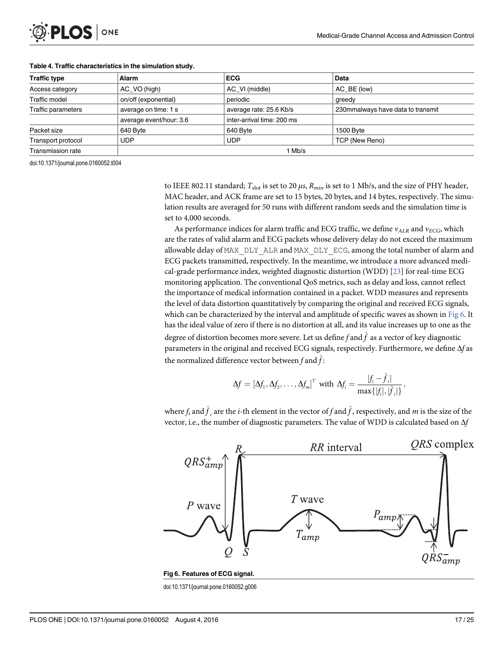| <b>Traffic type</b>       | <b>Alarm</b>            | <b>ECG</b>                 | Data                              |
|---------------------------|-------------------------|----------------------------|-----------------------------------|
| Access category           | AC_VO (high)            | AC_VI (middle)             | AC_BE (low)                       |
| <b>Traffic model</b>      | on/off (exponential)    | periodic                   | greedy                            |
| <b>Traffic parameters</b> | average on time: 1 s    | average rate: 25.6 Kb/s    | 230mmalways have data to transmit |
|                           | average event/hour: 3.6 | inter-arrival time: 200 ms |                                   |
| Packet size               | 640 Byte                | 640 Byte                   | 1500 Byte                         |
| Transport protocol        | <b>UDP</b>              | <b>UDP</b>                 | TCP (New Reno)                    |
| <b>Transmission rate</b>  |                         | l Mb/s                     |                                   |

#### <span id="page-16-0"></span>[Table 4. T](#page-15-0)raffic characteristics in the simulation study.

doi:10.1371/journal.pone.0160052.t004

to IEEE 802.11 standard;  $T_{slot}$  is set to 20  $\mu s$ ,  $R_{min}$  is set to 1 Mb/s, and the size of PHY header, MAC header, and ACK frame are set to 15 bytes, 20 bytes, and 14 bytes, respectively. The simulation results are averaged for 50 runs with different random seeds and the simulation time is set to 4,000 seconds.

As performance indices for alarm traffic and ECG traffic, we define  $v_{ALR}$  and  $v_{ECG}$ , which are the rates of valid alarm and ECG packets whose delivery delay do not exceed the maximum allowable delay of MAX\_DLY\_ALR and MAX\_DLY\_ECG, among the total number of alarm and ECG packets transmitted, respectively. In the meantime, we introduce a more advanced medical-grade performance index, weighted diagnostic distortion (WDD)  $[23]$  $[23]$  $[23]$  for real-time ECG monitoring application. The conventional QoS metrics, such as delay and loss, cannot reflect the importance of medical information contained in a packet. WDD measures and represents the level of data distortion quantitatively by comparing the original and received ECG signals, which can be characterized by the interval and amplitude of specific waves as shown in Fig 6. It has the ideal value of zero if there is no distortion at all, and its value increases up to one as the degree of distortion becomes more severe. Let us define f and  $\hat{f}$  as a vector of key diagnostic parameters in the original and received ECG signals, respectively. Furthermore, we define Δf as the normalized difference vector between  $f$  and  $\ddot{f}$ :

$$
\Delta f = \left[\Delta f_1, \Delta f_2, \ldots, \Delta f_m\right]^T \text{ with } \Delta f_i = \frac{|f_i - \hat{f}_i|}{\max\{|f_i|, |\hat{f}_i|\}},
$$

where  $f_i$  and  $\hat{f}_i$  are the *i*-th element in the vector of f and  $\hat{f}$ , respectively, and m is the size of the vector, i.e., the number of diagnostic parameters. The value of WDD is calculated based on Δf

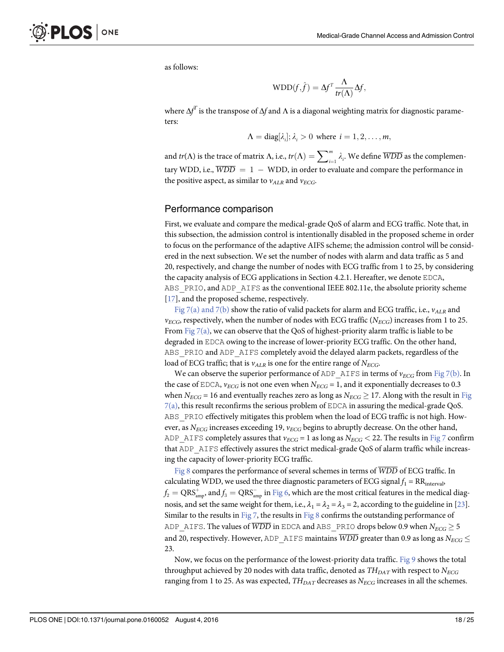<span id="page-17-0"></span>as follows:

$$
WDD(f,\hat{f}) = \Delta f^T \frac{\Lambda}{tr(\Lambda)} \Delta f,
$$

where  $\Delta \! f^T$  is the transpose of  $\Delta \! f$  and  $\Lambda$  is a diagonal weighting matrix for diagnostic parameters:

$$
\Lambda = \text{diag}[\lambda_i]; \lambda_i > 0 \text{ where } i = 1, 2, \dots, m,
$$

and  $tr(\Lambda)$  is the trace of matrix  $\Lambda$ , i.e.,  $tr(\Lambda) = \sum_{i=1}^{m} \lambda_i$ . We define  $\overline{WDD}$  as the complementary WDD, i.e.,  $\overline{WDD} = 1 - WDD$ , in order to evaluate and compare the performance in the positive aspect, as similar to  $v_{ALR}$  and  $v_{ECG}$ .

#### Performance comparison

First, we evaluate and compare the medical-grade QoS of alarm and ECG traffic. Note that, in this subsection, the admission control is intentionally disabled in the proposed scheme in order to focus on the performance of the adaptive AIFS scheme; the admission control will be considered in the next subsection. We set the number of nodes with alarm and data traffic as 5 and 20, respectively, and change the number of nodes with ECG traffic from 1 to 25, by considering the capacity analysis of ECG applications in Section 4.2.1. Hereafter, we denote EDCA, ABS\_PRIO, and ADP\_AIFS as the conventional IEEE 802.11e, the absolute priority scheme [\[17](#page-24-0)], and the proposed scheme, respectively.

[Fig 7\(a\) and 7\(b\)](#page-18-0) show the ratio of valid packets for alarm and ECG traffic, i.e.,  $v_{ALR}$  and  $v_{ECG}$ , respectively, when the number of nodes with ECG traffic (N<sub>ECG</sub>) increases from 1 to 25. From Fig  $7(a)$ , we can observe that the QoS of highest-priority alarm traffic is liable to be degraded in EDCA owing to the increase of lower-priority ECG traffic. On the other hand, ABS\_PRIO and ADP\_AIFS completely avoid the delayed alarm packets, regardless of the load of ECG traffic; that is  $v_{ALR}$  is one for the entire range of  $N_{ECG}$ .

We can observe the superior performance of ADP\_AIFS in terms of  $v_{ECG}$  from [Fig 7\(b\).](#page-18-0) In the case of EDCA,  $v_{ECG}$  is not one even when  $N_{ECG} = 1$ , and it exponentially decreases to 0.3 when  $N_{ECG}$  = 16 and eventually reaches zero as long as  $N_{ECG} \ge 17$ . Along with the result in [Fig](#page-18-0)  $7(a)$ , this result reconfirms the serious problem of EDCA in assuring the medical-grade QoS. ABS\_PRIO effectively mitigates this problem when the load of ECG traffic is not high. However, as  $N_{ECG}$  increases exceeding 19,  $v_{ECG}$  begins to abruptly decrease. On the other hand, ADP AIFS completely assures that  $v_{ECG} = 1$  as long as  $N_{ECG} < 22$ . The results in [Fig 7](#page-18-0) confirm that ADP\_AIFS effectively assures the strict medical-grade QoS of alarm traffic while increasing the capacity of lower-priority ECG traffic.

[Fig 8](#page-18-0) compares the performance of several schemes in terms of  $\overline{WDD}$  of ECG traffic. In calculating WDD, we used the three diagnostic parameters of ECG signal  $f_1 = RR$ <sub>interval</sub>,  $f_2 = \text{QRS}_{\text{amp}}^+$ , and  $f_3 = \text{QRS}_{\text{amp}}^-$  in [Fig 6](#page-16-0), which are the most critical features in the medical diagnosis, and set the same weight for them, i.e.,  $\lambda_1 = \lambda_2 = \lambda_3 = 2$ , according to the guideline in [[23](#page-24-0)]. Similar to the results in  $Fig 7$ , the results in  $Fig 8$  confirms the outstanding performance of ADP\_AIFS. The values of  $\overline{WDD}$  in EDCA and ABS\_PRIO drops below 0.9 when  $N_{ECG} \geq 5$ and 20, respectively. However, ADP\_AIFS maintains  $\overline{WDD}$  greater than 0.9 as long as  $N_{ECG}$ 23.

Now, we focus on the performance of the lowest-priority data traffic. [Fig 9](#page-19-0) shows the total throughput achieved by 20 nodes with data traffic, denoted as  $TH_{DATA}$  with respect to  $N_{ECG}$ ranging from 1 to 25. As was expected,  $TH_{DATA}$  decreases as  $N_{ECG}$  increases in all the schemes.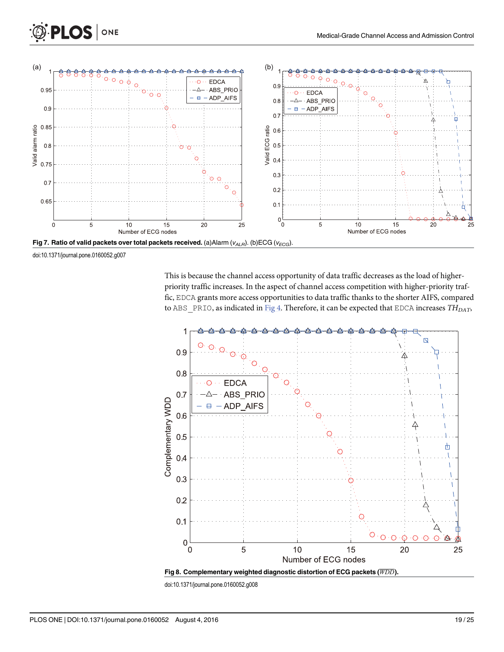<span id="page-18-0"></span>

doi:10.1371/journal.pone.0160052.g007

This is because the channel access opportunity of data traffic decreases as the load of higherpriority traffic increases. In the aspect of channel access competition with higher-priority traffic, EDCA grants more access opportunities to data traffic thanks to the shorter AIFS, compared to ABS PRIO, as indicated in [Fig 4](#page-8-0). Therefore, it can be expected that EDCA increases  $TH_{DATA}$ ,



doi:10.1371/journal.pone.0160052.g008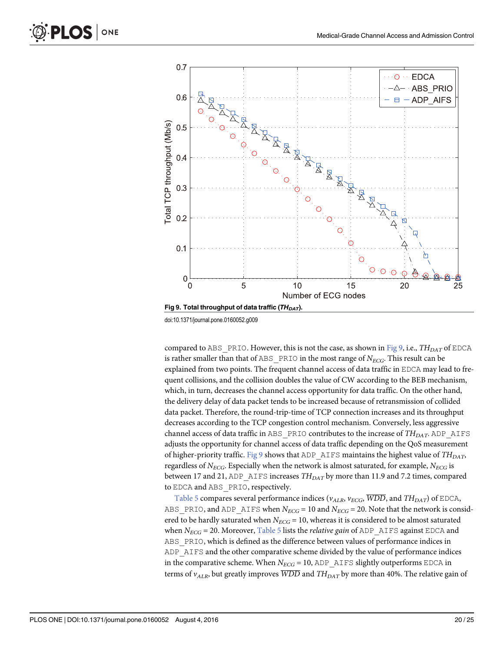<span id="page-19-0"></span>



doi:10.1371/journal.pone.0160052.g009

compared to ABS PRIO. However, this is not the case, as shown in Fig 9, i.e.,  $TH_{DATA}$  of EDCA is rather smaller than that of ABS PRIO in the most range of  $N_{ECG}$ . This result can be explained from two points. The frequent channel access of data traffic in EDCA may lead to frequent collisions, and the collision doubles the value of CW according to the BEB mechanism, which, in turn, decreases the channel access opportunity for data traffic. On the other hand, the delivery delay of data packet tends to be increased because of retransmission of collided data packet. Therefore, the round-trip-time of TCP connection increases and its throughput decreases according to the TCP congestion control mechanism. Conversely, less aggressive channel access of data traffic in ABS\_PRIO contributes to the increase of  $TH_{DATA}$ . ADP\_AIFS adjusts the opportunity for channel access of data traffic depending on the QoS measurement of higher-priority traffic. Fig 9 shows that ADP\_AIFS maintains the highest value of  $TH_{DATA}$ , regardless of  $N_{ECG}$ . Especially when the network is almost saturated, for example,  $N_{ECG}$  is between 17 and 21, ADP\_AIFS increases  $TH<sub>DAT</sub>$  by more than 11.9 and 7.2 times, compared to EDCA and ABS\_PRIO, respectively.

[Table 5](#page-20-0) compares several performance indices ( $v_{ALR}$ ,  $v_{ECG}$ ,  $\overline{WDD}$ , and  $TH_{DATA}$ ) of EDCA, ABS PRIO, and ADP AIFS when  $N_{ECG} = 10$  and  $N_{ECG} = 20$ . Note that the network is considered to be hardly saturated when  $N_{ECG}$  = 10, whereas it is considered to be almost saturated when  $N_{ECG}$  = 20. Moreover, [Table 5](#page-20-0) lists the *relative gain* of ADP\_AIFS against EDCA and ABS PRIO, which is defined as the difference between values of performance indices in ADP AIFS and the other comparative scheme divided by the value of performance indices in the comparative scheme. When  $N_{ECG} = 10$ , ADP\_AIFS slightly outperforms EDCA in terms of  $v_{ALR}$ , but greatly improves  $\overline{WDD}$  and  $TH_{DATA}$  by more than 40%. The relative gain of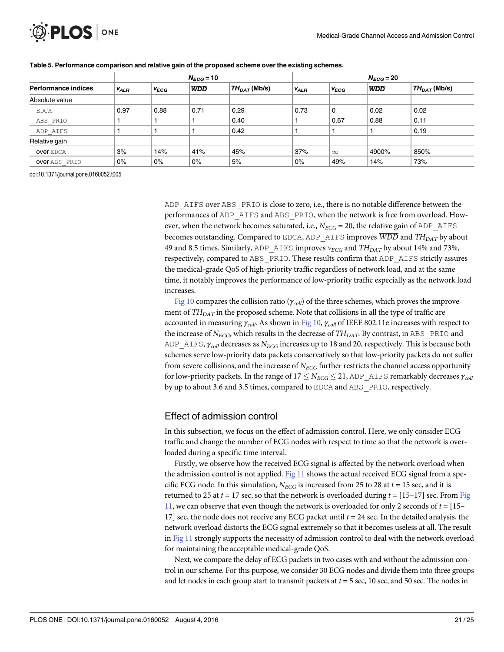<span id="page-20-0"></span>

| Performance indices  |             | $N_{ECG}$ = 10 |            |                   |                        | $N_{FCG}$ = 20         |            |                   |  |
|----------------------|-------------|----------------|------------|-------------------|------------------------|------------------------|------------|-------------------|--|
|                      | <b>VALR</b> | $V_{ECG}$      | <b>WDD</b> | $TH_{DAT}$ (Mb/s) | <b>V<sub>ALR</sub></b> | <b>V<sub>ECG</sub></b> | <b>WDD</b> | $TH_{DAT}$ (Mb/s) |  |
| Absolute value       |             |                |            |                   |                        |                        |            |                   |  |
| <b>EDCA</b>          | 0.97        | 0.88           | 0.71       | 0.29              | 0.73                   | 0                      | 0.02       | 0.02              |  |
| ABS PRIO             |             |                |            | 0.40              |                        | 0.67                   | 0.88       | 0.11              |  |
| ADP AIFS             |             |                |            | 0.42              |                        |                        |            | 0.19              |  |
| Relative gain        |             |                |            |                   |                        |                        |            |                   |  |
| <b>OVEr EDCA</b>     | 3%          | 14%            | 41%        | 45%               | 37%                    | $\infty$               | 4900%      | 850%              |  |
| <b>OVET ABS PRIO</b> | $0\%$       | $0\%$          | $0\%$      | 5%                | $0\%$                  | 49%                    | 14%        | 73%               |  |

#### [Table 5. P](#page-19-0)erformance comparison and relative gain of the proposed scheme over the existing schemes.

doi:10.1371/journal.pone.0160052.t005

ADP\_AIFS over ABS\_PRIO is close to zero, i.e., there is no notable difference between the performances of ADP\_AIFS and ABS\_PRIO, when the network is free from overload. However, when the network becomes saturated, i.e.,  $N_{ECG} = 20$ , the relative gain of ADP\_AIFS becomes outstanding. Compared to EDCA, ADP\_AIFS improves  $\overline{WDD}$  and  $TH_{DATA}$  by about 49 and 8.5 times. Similarly, ADP AIFS improves  $v_{ECG}$  and  $TH_{DATA}$  by about 14% and 73%, respectively, compared to ABS\_PRIO. These results confirm that ADP\_AIFS strictly assures the medical-grade QoS of high-priority traffic regardless of network load, and at the same time, it notably improves the performance of low-priority traffic especially as the network load increases.

[Fig 10](#page-21-0) compares the collision ratio ( $\gamma_{coll}$ ) of the three schemes, which proves the improvement of  $TH<sub>DATA</sub>$  in the proposed scheme. Note that collisions in all the type of traffic are accounted in measuring  $\gamma_{coll}$ . As shown in [Fig 10,](#page-21-0)  $\gamma_{coll}$  of IEEE 802.11e increases with respect to the increase of  $N_{ECG}$ , which results in the decrease of  $TH_{DATA}$ . By contrast, in ABS PRIO and ADP\_AIFS,  $\gamma_{coll}$  decreases as  $N_{ECG}$  increases up to 18 and 20, respectively. This is because both schemes serve low-priority data packets conservatively so that low-priority packets do not suffer from severe collisions, and the increase of  $N_{ECG}$  further restricts the channel access opportunity for low-priority packets. In the range of  $17 \le N_{ECG} \le 21$ , ADP\_AIFS remarkably decreases  $\gamma_{coll}$ by up to about 3.6 and 3.5 times, compared to EDCA and ABS\_PRIO, respectively.

#### Effect of admission control

In this subsection, we focus on the effect of admission control. Here, we only consider ECG traffic and change the number of ECG nodes with respect to time so that the network is overloaded during a specific time interval.

Firstly, we observe how the received ECG signal is affected by the network overload when the admission control is not applied. Fig  $11$  shows the actual received ECG signal from a specific ECG node. In this simulation,  $N_{ECG}$  is increased from 25 to 28 at  $t = 15$  sec, and it is returned to 25 at  $t = 17$  sec, so that the network is overloaded during  $t = [15-17]$  sec. From [Fig](#page-22-0) [11,](#page-22-0) we can observe that even though the network is overloaded for only 2 seconds of  $t = [15 -$ 17] sec, the node does not receive any ECG packet until  $t = 24$  sec. In the detailed analysis, the network overload distorts the ECG signal extremely so that it becomes useless at all. The result in [Fig 11](#page-22-0) strongly supports the necessity of admission control to deal with the network overload for maintaining the acceptable medical-grade QoS.

Next, we compare the delay of ECG packets in two cases with and without the admission control in our scheme. For this purpose, we consider 30 ECG nodes and divide them into three groups and let nodes in each group start to transmit packets at  $t = 5$  sec, 10 sec, and 50 sec. The nodes in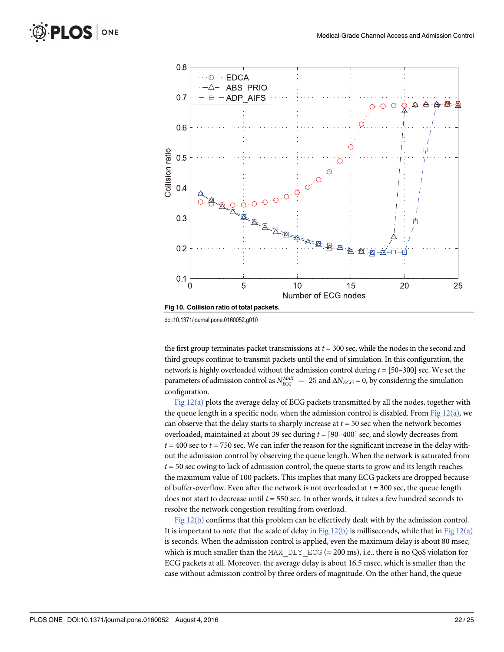<span id="page-21-0"></span>



doi:10.1371/journal.pone.0160052.g010

the first group terminates packet transmissions at  $t = 300$  sec, while the nodes in the second and third groups continue to transmit packets until the end of simulation. In this configuration, the network is highly overloaded without the admission control during  $t = [50-300]$  sec. We set the parameters of admission control as  $N_{ECG}^{MAX} = 25$  and  $\Delta N_{ECG} = 0$ , by considering the simulation configuration.

[Fig 12\(a\)](#page-22-0) plots the average delay of ECG packets transmitted by all the nodes, together with the queue length in a specific node, when the admission control is disabled. From Fig  $12(a)$ , we can observe that the delay starts to sharply increase at  $t = 50$  sec when the network becomes overloaded, maintained at about 39 sec during  $t = [90-400]$  sec, and slowly decreases from  $t = 400$  sec to  $t = 750$  sec. We can infer the reason for the significant increase in the delay without the admission control by observing the queue length. When the network is saturated from  $t = 50$  sec owing to lack of admission control, the queue starts to grow and its length reaches the maximum value of 100 packets. This implies that many ECG packets are dropped because of buffer-overflow. Even after the network is not overloaded at  $t = 300$  sec, the queue length does not start to decrease until  $t = 550$  sec. In other words, it takes a few hundred seconds to resolve the network congestion resulting from overload.

[Fig 12\(b\)](#page-22-0) confirms that this problem can be effectively dealt with by the admission control. It is important to note that the scale of delay in  $Fig 12(b)$  is milliseconds, while that in [Fig 12\(a\)](#page-22-0) is seconds. When the admission control is applied, even the maximum delay is about 80 msec, which is much smaller than the MAX  $DLY$  ECG (= 200 ms), i.e., there is no QoS violation for ECG packets at all. Moreover, the average delay is about 16.5 msec, which is smaller than the case without admission control by three orders of magnitude. On the other hand, the queue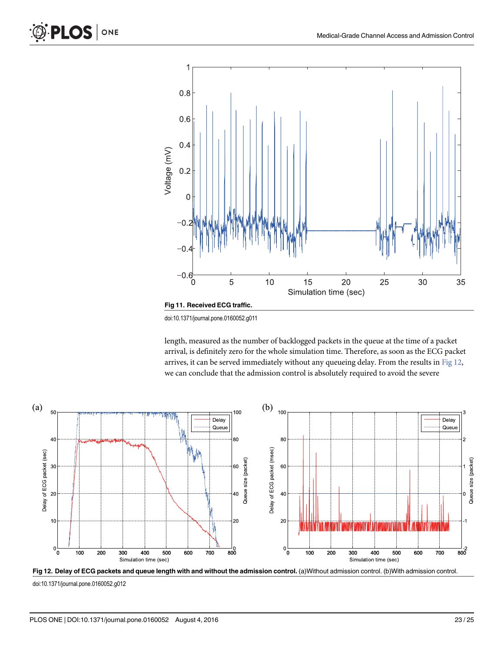<span id="page-22-0"></span>



doi:10.1371/journal.pone.0160052.g011

length, measured as the number of backlogged packets in the queue at the time of a packet arrival, is definitely zero for the whole simulation time. Therefore, as soon as the ECG packet arrives, it can be served immediately without any queueing delay. From the results in Fig 12, we can conclude that the admission control is absolutely required to avoid the severe



doi:10.1371/journal.pone.0160052.g012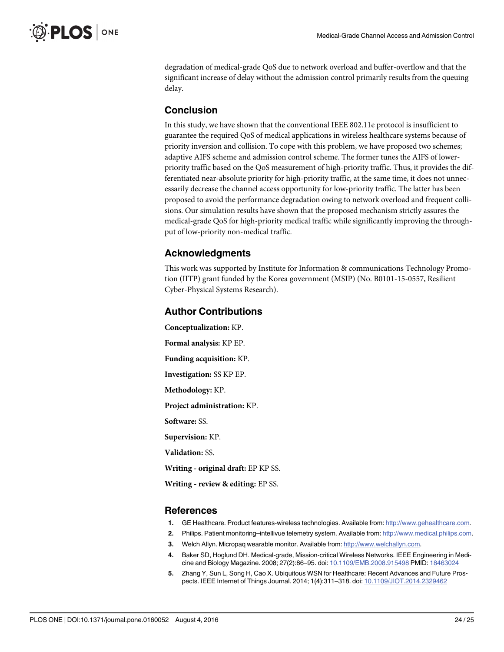<span id="page-23-0"></span>degradation of medical-grade QoS due to network overload and buffer-overflow and that the significant increase of delay without the admission control primarily results from the queuing delay.

## Conclusion

In this study, we have shown that the conventional IEEE 802.11e protocol is insufficient to guarantee the required QoS of medical applications in wireless healthcare systems because of priority inversion and collision. To cope with this problem, we have proposed two schemes; adaptive AIFS scheme and admission control scheme. The former tunes the AIFS of lowerpriority traffic based on the QoS measurement of high-priority traffic. Thus, it provides the differentiated near-absolute priority for high-priority traffic, at the same time, it does not unnecessarily decrease the channel access opportunity for low-priority traffic. The latter has been proposed to avoid the performance degradation owing to network overload and frequent collisions. Our simulation results have shown that the proposed mechanism strictly assures the medical-grade QoS for high-priority medical traffic while significantly improving the throughput of low-priority non-medical traffic.

### Acknowledgments

This work was supported by Institute for Information & communications Technology Promotion (IITP) grant funded by the Korea government (MSIP) (No. B0101-15-0557, Resilient Cyber-Physical Systems Research).

#### Author Contributions

Conceptualization: KP.

Formal analysis: KP EP.

Funding acquisition: KP.

Investigation: SS KP EP.

Methodology: KP.

Project administration: KP.

Software: SS.

Supervision: KP.

Validation: SS.

Writing - original draft: EP KP SS.

Writing - review & editing: EP SS.

#### References

- [1.](#page-0-0) GE Healthcare. Product features-wireless technologies. Available from: <http://www.gehealthcare.com>.
- 2. Philips. Patient monitoring-intellivue telemetry system. Available from: [http://www.medical.philips.com.](http://www.medical.philips.com)
- [3.](#page-0-0) Welch Allyn. Micropaq wearable monitor. Available from: <http://www.welchallyn.com>.
- [4.](#page-4-0) Baker SD, Hoglund DH. Medical-grade, Mission-critical Wireless Networks. IEEE Engineering in Medicine and Biology Magazine. 2008; 27(2):86–95. doi: [10.1109/EMB.2008.915498](http://dx.doi.org/10.1109/EMB.2008.915498) PMID: [18463024](http://www.ncbi.nlm.nih.gov/pubmed/18463024)
- [5.](#page-5-0) Zhang Y, Sun L, Song H, Cao X. Ubiquitous WSN for Healthcare: Recent Advances and Future Prospects. IEEE Internet of Things Journal. 2014; 1(4):311–318. doi: [10.1109/JIOT.2014.2329462](http://dx.doi.org/10.1109/JIOT.2014.2329462)